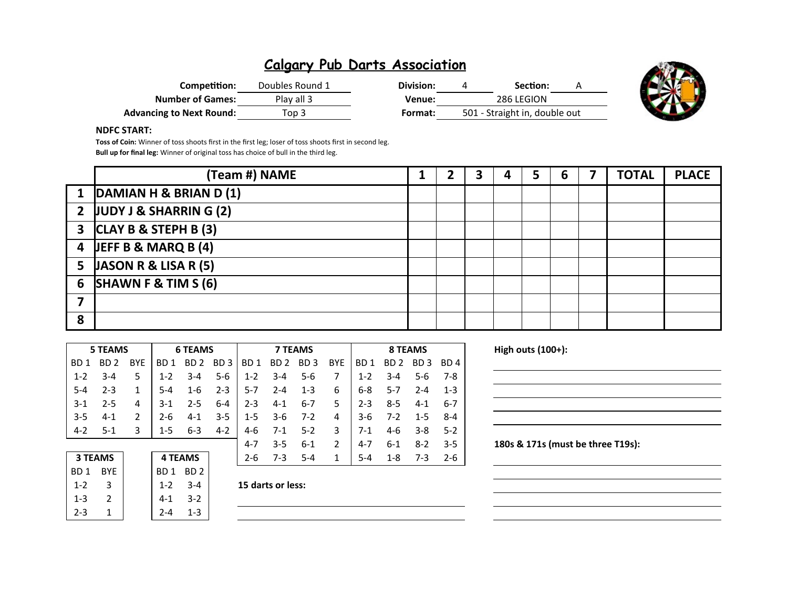| Competition:                    | Doubles Round 1 | Division: | Section:                      |  |
|---------------------------------|-----------------|-----------|-------------------------------|--|
| <b>Number of Games:</b>         | Play all 3      | Venue:    | 286 LEGION                    |  |
| <b>Advancing to Next Round:</b> | Top 3           | Format:   | 501 - Straight in, double out |  |



### **NDFC START:**

**Toss of Coin:** Winner of toss shoots first in the first leg; loser of toss shoots first in second leg. **Bull up for final leg:** Winner of original toss has choice of bull in the third leg.

|   | (Team #) NAME                      |  | ∍ | 5 | 6 | <b>TOTAL</b> | <b>PLACE</b> |
|---|------------------------------------|--|---|---|---|--------------|--------------|
|   | 1 DAMIAN H & BRIAN D (1)           |  |   |   |   |              |              |
|   | 2 JUDY J & SHARRIN $G(2)$          |  |   |   |   |              |              |
|   | $3$ CLAY B & STEPH B (3)           |  |   |   |   |              |              |
|   | $\overline{4}$ JEFF B & MARQ B (4) |  |   |   |   |              |              |
|   | 5 JASON R & LISA R $(5)$           |  |   |   |   |              |              |
|   | 6 SHAWN F & TIM $S(6)$             |  |   |   |   |              |              |
|   |                                    |  |   |   |   |              |              |
| 8 |                                    |  |   |   |   |              |              |

| High outs (100+):                 |         |         | 8 TEAMS         |         |     | <b>7 TEAMS</b>  |                 |                 |                 | <b>6 TEAMS</b>  |                 |            | <b>5 TEAMS</b>  |                 |
|-----------------------------------|---------|---------|-----------------|---------|-----|-----------------|-----------------|-----------------|-----------------|-----------------|-----------------|------------|-----------------|-----------------|
|                                   | BD 4    | BD 3    | BD <sub>2</sub> | BD 1    | BYE | BD <sub>3</sub> | BD <sub>2</sub> | BD <sub>1</sub> | BD <sub>3</sub> | BD <sub>2</sub> | BD <sub>1</sub> | <b>BYE</b> | BD <sub>2</sub> | BD <sub>1</sub> |
|                                   | 7-8     | $5 - 6$ | $3 - 4$         | $1 - 2$ |     | 5-6             | $3 - 4$         | $1 - 2$         | $5 - 6$         | $3 - 4$         | $1 - 2$         | 5          | $3 - 4$         | $1 - 2$         |
|                                   | $1 - 3$ | $2 - 4$ | 5-7             | $6 - 8$ | 6   | $1 - 3$         | $2 - 4$         | $5 - 7$         | $2 - 3$         | $1 - 6$         | $5 - 4$         |            | $2 - 3$         | 5-4             |
|                                   | $6 - 7$ | $4 - 1$ | $8 - 5$         | $2 - 3$ | 5.  | $6 - 7$         | $4 - 1$         | $2 - 3$         | $6-4$           | $2 - 5$         | $3-1$           | 4          | $2 - 5$         | $3-1$           |
|                                   | 8-4     | $1 - 5$ | $7 - 2$         | $3 - 6$ | 4   | $7-2$           | $3-6$           | $1 - 5$         | $3 - 5$         | $4-1$           | 2-6             |            | $4 - 1$         | $3 - 5$         |
|                                   | $5-2$   | $3 - 8$ | $4 - 6$         | $7-1$   | 3   | $5 - 2$         | $7-1$           | 4-6             | $4 - 2$         | $6 - 3$         | 1-5             | 3          | -5-1            | $4 - 2$         |
| 180s & 171s (must be three T19s): | $3 - 5$ | $8 - 2$ | $6 - 1$         | 4-7     | 2   | $6 - 1$         | $3 - 5$         | $4 - 7$         |                 |                 |                 |            |                 |                 |
|                                   | $2 - 6$ | $7-3$   | $1 - 8$         | $5 - 4$ |     | $5 - 4$         | $7 - 3$         | $2 - 6$         |                 | <b>4 TEAMS</b>  |                 |            | <b>3 TEAMS</b>  |                 |
|                                   |         |         |                 |         |     |                 |                 |                 |                 | BD <sub>2</sub> | BD 1            |            | <b>BYE</b>      | BD <sub>1</sub> |

| High outs $(100+)$ : |                                   |  |  |
|----------------------|-----------------------------------|--|--|
|                      |                                   |  |  |
|                      |                                   |  |  |
|                      |                                   |  |  |
|                      |                                   |  |  |
|                      | 180s & 171s (must be three T19s): |  |  |
|                      |                                   |  |  |
|                      |                                   |  |  |
|                      |                                   |  |  |

| <b>3 TEAMS</b>  |            | <b>4 TEAMS</b>  |                 |
|-----------------|------------|-----------------|-----------------|
| BD <sub>1</sub> | <b>BYE</b> | BD <sub>1</sub> | BD <sub>2</sub> |
| $1 - 2$         | 3          | $1 - 2$         | $3 - 4$         |
| $1 - 3$         | 2          | $4 - 1$         | $3-2$           |
| $2 - 3$         |            | 7-4             | 1-3             |

| $1-2$ $3-4$ | 15 darts or less: |
|-------------|-------------------|
|             |                   |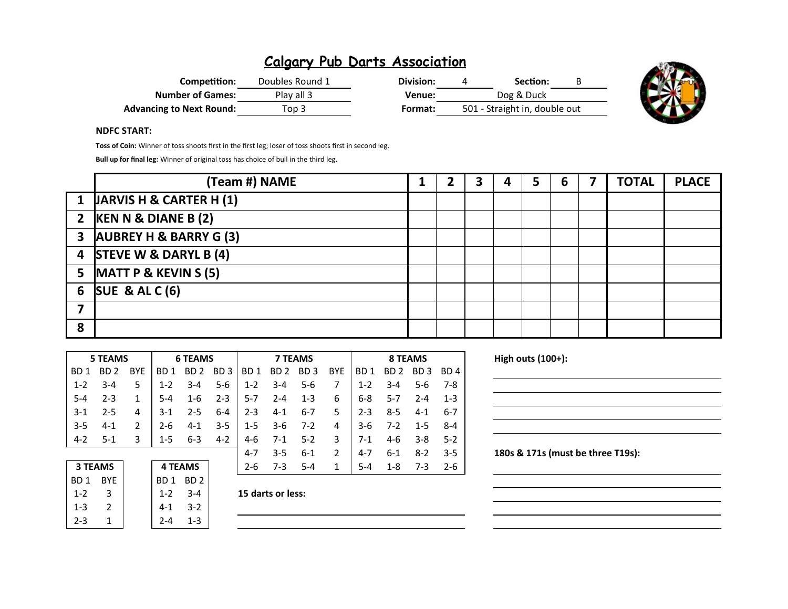| Competition:                    | Doubles Round 1 | Division: | Section:                      | B |
|---------------------------------|-----------------|-----------|-------------------------------|---|
| <b>Number of Games:</b>         | Play all 3      | Venue:    | Dog & Duck                    |   |
| <b>Advancing to Next Round:</b> | Top 3           | Format:   | 501 - Straight in, double out |   |



#### **NDFC START:**

**Toss of Coin:** Winner of toss shoots first in the first leg; loser of toss shoots first in second leg.

**Bull up for final leg:** Winner of original toss has choice of bull in the third leg.

|              | (Team #) NAME                      | 1 |  | 4 | 5 | 6 | <b>TOTAL</b> | <b>PLACE</b> |
|--------------|------------------------------------|---|--|---|---|---|--------------|--------------|
| $\mathbf{1}$ | <b>JARVIS H &amp; CARTER H (1)</b> |   |  |   |   |   |              |              |
|              | 2 $KEN N & DIANE B (2)$            |   |  |   |   |   |              |              |
|              | 3 AUBREY H & BARRY G (3)           |   |  |   |   |   |              |              |
|              | 4 STEVE W & DARYL B (4)            |   |  |   |   |   |              |              |
|              | 5 $MATT P & KEYIN S (5)$           |   |  |   |   |   |              |              |
|              | 6 SUE & AL C $(6)$                 |   |  |   |   |   |              |              |
|              |                                    |   |  |   |   |   |              |              |
| 8            |                                    |   |  |   |   |   |              |              |

|         | 5 TEAMS |               |         | <b>6 TEAMS</b> |         | <b>7 TEAMS</b> |           |         |               | 8 TEAMS |         |                |         |
|---------|---------|---------------|---------|----------------|---------|----------------|-----------|---------|---------------|---------|---------|----------------|---------|
| BD 1    | BD 2    | <b>BYF</b>    | BD 1    | BD 2 BD 3      |         | BD 1           | BD 2 BD 3 |         | BYE           | BD 1    |         | BD 2 BD 3 BD 4 |         |
| $1 - 2$ | $3 - 4$ | 5             | $1 - 2$ | $3 - 4$        | $5-6$   | $1 - 2$        | $3 - 4$   | $5 - 6$ | 7             | $1 - 2$ | $3 - 4$ | $5-6$          | - 7-8   |
| $5 - 4$ | $2 - 3$ | 1             | $5-4$   | 1-6            | $2 - 3$ | 5-7            | $2 - 4$   | $1 - 3$ | 6             | $6 - 8$ | $5-7$   | $2 - 4$        | $1 - 3$ |
| $-3-1$  | $2 - 5$ | 4             | $3-1$   | $2 - 5$        | $6 - 4$ | $2 - 3$        | 4-1       | $6 - 7$ | 5.            | $2 - 3$ | 8-5     | 4-1            | 6-7     |
| $-3-5$  | 4-1     | $\mathcal{P}$ | $2-6$   | $4 - 1$        | $3-5$   | $1-5$          | 3-6       | $7-2$   | 4             | $3-6$   | 7-2     | $1 - 5$        | 8-4     |
| $4-2$   | $5-1$   | 3             | $1-5$   | $6 - 3$        | $4 - 2$ | 4-6            | 7-1       | $5-2$   | 3             | 7-1     | 4-6     | $3 - 8$        | $5-2$   |
|         |         |               |         |                |         | $4 - 7$        | $3 - 5$   | $6 - 1$ | $\mathcal{P}$ | 4-7     | $6 - 1$ | $8-2$          | $-3-5$  |

| <b>3 TEAMS</b>  |               | <b>4 TEAMS</b> |         |
|-----------------|---------------|----------------|---------|
| BD <sub>1</sub> | <b>BYE</b>    | BD1 BD2        |         |
| $1 - 2$         | 3             | $1 - 2$        | $3 - 4$ |
| $1 - 3$         | $\mathcal{P}$ | $4 - 1$        | $3-2$   |
| $2 - 3$         |               | $2 - 4$        | $1 - 3$ |

|  | 15 darts or less: |  |
|--|-------------------|--|
|--|-------------------|--|

**3 TEAMS 4 TEAMS** 2-6 7-3 5-4 1 5-4 1-8 7-3 2-6

**High outs (100+):** 

180s & 171s (must be three T19s):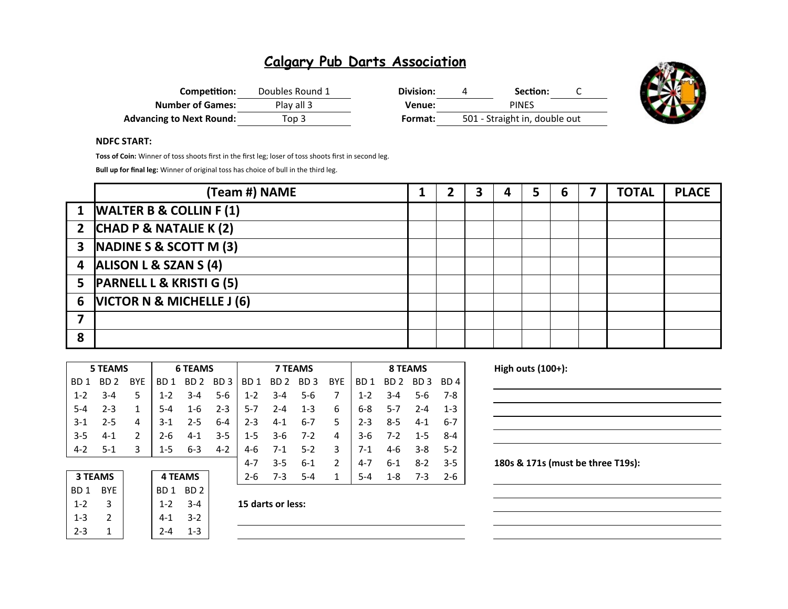| Competition:                    | Doubles Round 1 | Division: | Section:                      |  |
|---------------------------------|-----------------|-----------|-------------------------------|--|
| <b>Number of Games:</b>         | Play all 3      | Venue:    | <b>PINES</b>                  |  |
| <b>Advancing to Next Round:</b> | Top 3           | Format:   | 501 - Straight in, double out |  |



#### **NDFC START:**

**Toss of Coin:** Winner of toss shoots first in the first leg; loser of toss shoots first in second leg.

**Bull up for final leg:** Winner of original toss has choice of bull in the third leg.

|   | (Team #) NAME                       |  | ∍ | 5 | 6 | <b>TOTAL</b> | <b>PLACE</b> |
|---|-------------------------------------|--|---|---|---|--------------|--------------|
|   | 1  WALTER B & COLLIN F (1)          |  |   |   |   |              |              |
|   | 2 $ CHAD P & NATALIE K (2)$         |  |   |   |   |              |              |
|   | 3  NADINE S & SCOTT M (3)           |  |   |   |   |              |              |
| 4 | <b>ALISON L &amp; SZAN S (4)</b>    |  |   |   |   |              |              |
| 5 | <b>PARNELL L &amp; KRISTI G (5)</b> |  |   |   |   |              |              |
| 6 | VICTOR N & MICHELLE J (6)           |  |   |   |   |              |              |
|   |                                     |  |   |   |   |              |              |
| 8 |                                     |  |   |   |   |              |              |

|                  | <b>5 TEAMS</b> |            | <b>6 TEAMS</b>  |                 |                 | <b>7 TEAMS</b>  |                 |                 |               |                 | <b>8 TEAMS</b>  |          |                 |  |  |
|------------------|----------------|------------|-----------------|-----------------|-----------------|-----------------|-----------------|-----------------|---------------|-----------------|-----------------|----------|-----------------|--|--|
| B <sub>D</sub> 1 | BD 2           | <b>BYE</b> | BD <sub>1</sub> | BD 2            | BD <sub>3</sub> | BD <sub>1</sub> | BD <sub>2</sub> | BD <sub>3</sub> | <b>BYE</b>    | BD <sub>1</sub> | BD <sub>2</sub> | BD.<br>3 | BD <sub>4</sub> |  |  |
| $1 - 2$          | $3 - 4$        | 5          | $1 - 2$         | $3 - 4$         | $5-6$           | $1 - 2$         | $3 - 4$         | $5 - 6$         | 7             | $1 - 2$         | $3 - 4$         | 5-6      | $7-8$           |  |  |
| $5 - 4$          | $2 - 3$        | 1          | $5 - 4$         | $1 - 6$         | $2 - 3$         | $5-7$           | $2 - 4$         | $1 - 3$         | 6             | $6 - 8$         | $5 - 7$         | $2 - 4$  | $1 - 3$         |  |  |
| $3-1$            | $2 - 5$        | 4          | 3-1             | $2 - 5$         | $6 - 4$         | $2 - 3$         | $4 - 1$         | $6 - 7$         | 5             | $2 - 3$         | $8 - 5$         | $4 - 1$  | $6 - 7$         |  |  |
| $3 - 5$          | $4 - 1$        | 2          | 2-6             | $4 - 1$         | $3 - 5$         | $1 - 5$         | $3-6$           | $7-2$           | 4             | $3-6$           | $7 - 2$         | $1 - 5$  | $8 - 4$         |  |  |
| $4 - 2$          | 5-1            | 3          | $1 - 5$         | $6 - 3$         | $4 - 2$         | 4-6             | $7-1$           | $5 - 2$         | 3             | $7-1$           | $4-6$           | $3 - 8$  | $5-2$           |  |  |
|                  |                |            |                 |                 |                 | $4 - 7$         | $3 - 5$         | $6 - 1$         | $\mathcal{P}$ | $4 - 7$         | $6 - 1$         | $8 - 2$  | $3 - 5$         |  |  |
|                  | <b>3 TEAMS</b> |            |                 | <b>4 TEAMS</b>  |                 | $2 - 6$         | $7-3$           | $5 - 4$         | 1             | $5 - 4$         | $1 - 8$         | $7-3$    | $2 - 6$         |  |  |
| BD <sub>1</sub>  | <b>BYE</b>     |            | BD 1            | BD <sub>2</sub> |                 |                 |                 |                 |               |                 |                 |          |                 |  |  |

| 3 I LANIS  |  |  |  |  |  |  |
|------------|--|--|--|--|--|--|
| <b>BYE</b> |  |  |  |  |  |  |
| 3          |  |  |  |  |  |  |
| 2          |  |  |  |  |  |  |
| 1          |  |  |  |  |  |  |
|            |  |  |  |  |  |  |

1-3 2 4-1 3-2  $2 - 4$  1-3

1-2 3 1-2 3-4 **15 darts or less:**

**High outs (100+):** 

180s & 171s (must be three T19s):